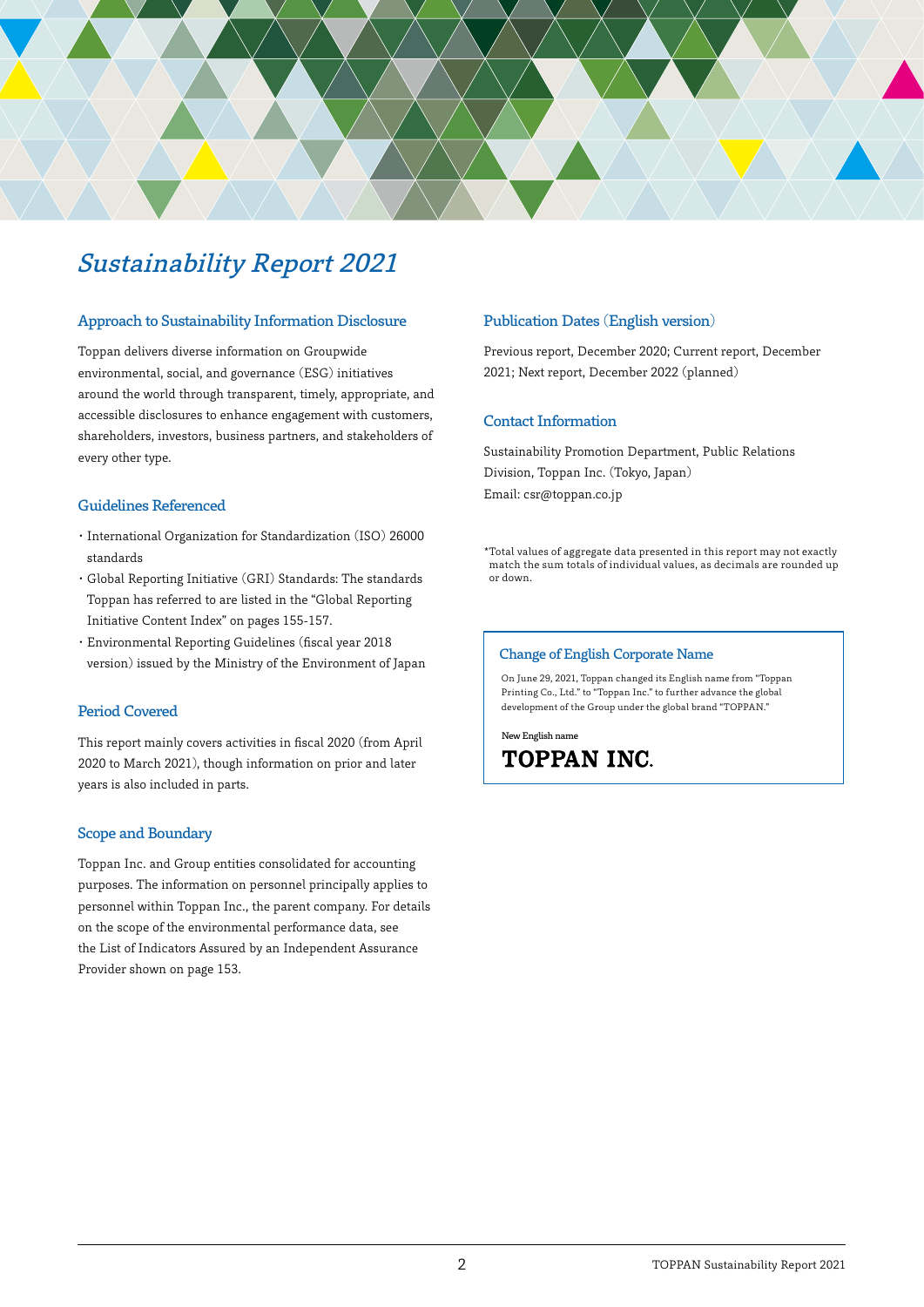

# Sustainability Report 2021

# Approach to Sustainability Information Disclosure

Toppan delivers diverse information on Groupwide environmental, social, and governance (ESG) initiatives around the world through transparent, timely, appropriate, and accessible disclosures to enhance engagement with customers, shareholders, investors, business partners, and stakeholders of every other type.

### Guidelines Referenced

- ・ International Organization for Standardization (ISO) 26000 standards
- ・ Global Reporting Initiative (GRI) Standards: The standards Toppan has referred to are listed in the "Global Reporting Initiative Content Index" on pages 155-157.
- ・ Environmental Reporting Guidelines (fiscal year 2018 version) issued by the Ministry of the Environment of Japan

# Period Covered

This report mainly covers activities in fiscal 2020 (from April 2020 to March 2021), though information on prior and later years is also included in parts.

# Scope and Boundary

Toppan Inc. and Group entities consolidated for accounting purposes. The information on personnel principally applies to personnel within Toppan Inc., the parent company. For details on the scope of the environmental performance data, see the List of Indicators Assured by an Independent Assurance Provider shown on page 153.

# Publication Dates (English version)

Previous report, December 2020; Current report, December 2021; Next report, December 2022 (planned)

### Contact Information

Sustainability Promotion Department, Public Relations Division, Toppan Inc. (Tokyo, Japan) Email: csr@toppan.co.jp

\*Total values of aggregate data presented in this report may not exactly match the sum totals of individual values, as decimals are rounded up or down.

#### Change of English Corporate Name

On June 29, 2021, Toppan changed its English name from "Toppan Printing Co., Ltd." to "Toppan Inc." to further advance the global development of the Group under the global brand "TOPPAN."

New English name **TOPPAN INC.**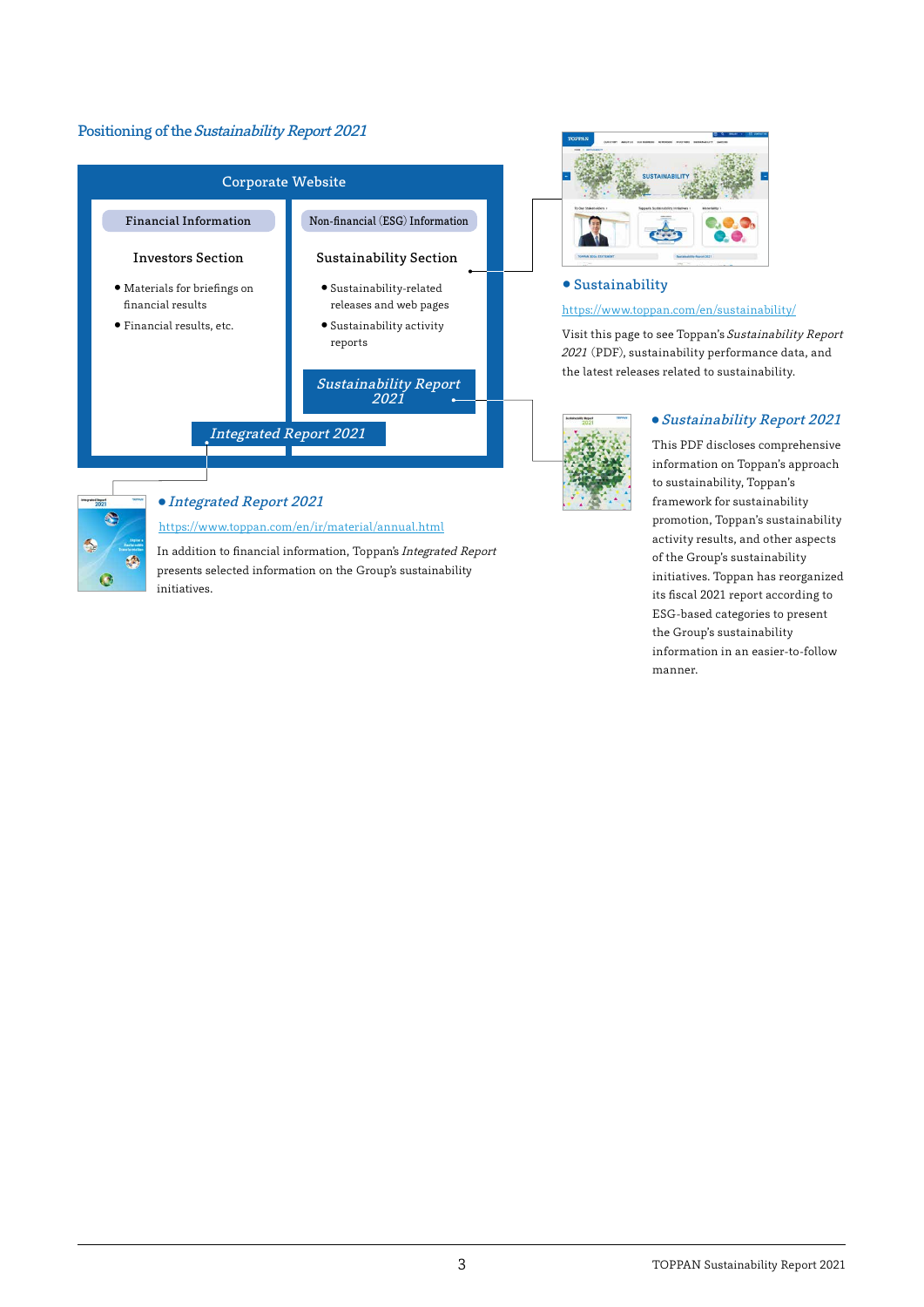# Positioning of the Sustainability Report 2021





### ● Sustainability

### <https://www.toppan.com/en/sustainability/>

Visit this page to see Toppan's Sustainability Report 2021 (PDF), sustainability performance data, and the latest releases related to sustainability.



# ● Sustainability Report 2021

This PDF discloses comprehensive information on Toppan's approach to sustainability, Toppan's framework for sustainability promotion, Toppan's sustainability activity results, and other aspects of the Group's sustainability initiatives. Toppan has reorganized its fiscal 2021 report according to ESG-based categories to present the Group's sustainability information in an easier-to-follow manner.



<https://www.toppan.com/en/ir/material/annual.html>

In addition to financial information, Toppan's Integrated Report presents selected information on the Group's sustainability initiatives.